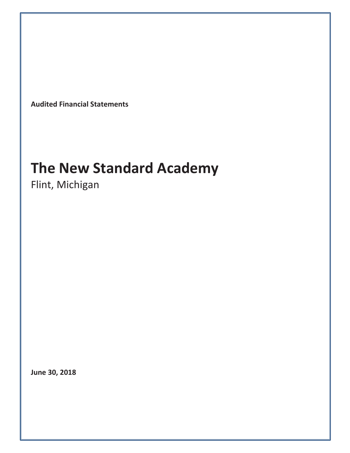**Audited Financial Statements**

# **The New Standard Academy**

Flint, Michigan

**June 30, 2018**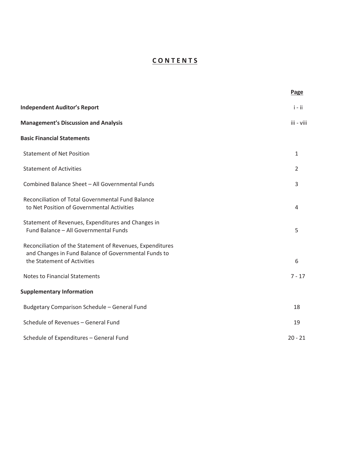# **C O N T E N T S**

|                                                                                                                                                  | Page       |
|--------------------------------------------------------------------------------------------------------------------------------------------------|------------|
| <b>Independent Auditor's Report</b>                                                                                                              | $i - ii$   |
| <b>Management's Discussion and Analysis</b>                                                                                                      | iii - viii |
| <b>Basic Financial Statements</b>                                                                                                                |            |
| <b>Statement of Net Position</b>                                                                                                                 | 1          |
| <b>Statement of Activities</b>                                                                                                                   | 2          |
| Combined Balance Sheet - All Governmental Funds                                                                                                  | 3          |
| Reconciliation of Total Governmental Fund Balance<br>to Net Position of Governmental Activities                                                  | 4          |
| Statement of Revenues, Expenditures and Changes in<br>Fund Balance - All Governmental Funds                                                      | 5          |
| Reconciliation of the Statement of Revenues, Expenditures<br>and Changes in Fund Balance of Governmental Funds to<br>the Statement of Activities | 6          |
| <b>Notes to Financial Statements</b>                                                                                                             | $7 - 17$   |
| <b>Supplementary Information</b>                                                                                                                 |            |
| Budgetary Comparison Schedule - General Fund                                                                                                     | 18         |
| Schedule of Revenues - General Fund                                                                                                              | 19         |
| Schedule of Expenditures - General Fund                                                                                                          | $20 - 21$  |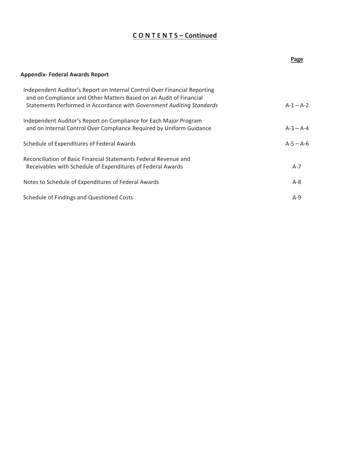## **C O N T E N T S – Continued**

|                                                                                                                                                                                                                          | Page        |
|--------------------------------------------------------------------------------------------------------------------------------------------------------------------------------------------------------------------------|-------------|
| <b>Appendix- Federal Awards Report</b>                                                                                                                                                                                   |             |
| Independent Auditor's Report on Internal Control Over Financial Reporting<br>and on Compliance and Other Matters Based on an Audit of Financial<br>Statements Performed in Accordance with Government Auditing Standards | $A-1 - A-2$ |
| Independent Auditor's Report on Compliance for Each Major Program<br>and on Internal Control Over Compliance Required by Uniform Guidance                                                                                | $A-3 - A-4$ |
| Schedule of Expenditures of Federal Awards                                                                                                                                                                               | $A-5 - A-6$ |
| Reconciliation of Basic Financial Statements Federal Revenue and<br>Receivables with Schedule of Expenditures of Federal Awards                                                                                          | $A-7$       |
| Notes to Schedule of Expenditures of Federal Awards                                                                                                                                                                      | $A - 8$     |
| Schedule of Findings and Questioned Costs                                                                                                                                                                                | $A-9$       |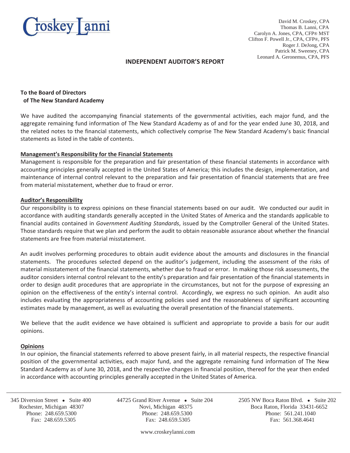

David M. Croskey, CPA Thomas B. Lanni, CPA Carolyn A. Jones, CPA, CFP® MST Clifton F. Powell Jr., CPA, CFP®, PFS Roger J. DeJong, CPA Patrick M. Sweeney, CPA Leonard A. Geronemus, CPA, PFS

#### **INDEPENDENT AUDITOR'S REPORT**

#### **To the Board of Directors of The New Standard Academy**

We have audited the accompanying financial statements of the governmental activities, each major fund, and the aggregate remaining fund information of The New Standard Academy as of and for the year ended June 30, 2018, and the related notes to the financial statements, which collectively comprise The New Standard Academy's basic financial statements as listed in the table of contents.

#### **Management's Responsibility for the Financial Statements**

Management is responsible for the preparation and fair presentation of these financial statements in accordance with accounting principles generally accepted in the United States of America; this includes the design, implementation, and maintenance of internal control relevant to the preparation and fair presentation of financial statements that are free from material misstatement, whether due to fraud or error.

#### **Auditor's Responsibility**

Our responsibility is to express opinions on these financial statements based on our audit.We conducted our audit in accordance with auditing standards generally accepted in the United States of America and the standards applicable to financial audits contained in *Government Auditing Standards*, issued by the Comptroller General of the United States. Those standards require that we plan and perform the audit to obtain reasonable assurance about whether the financial statements are free from material misstatement.

An audit involves performing procedures to obtain audit evidence about the amounts and disclosures in the financial statements. The procedures selected depend on the auditor's judgement, including the assessment of the risks of material misstatement of the financial statements, whether due to fraud or error. In making those risk assessments, the auditor considers internal control relevant to the entity's preparation and fair presentation of the financial statements in order to design audit procedures that are appropriate in the circumstances, but not for the purpose of expressing an opinion on the effectiveness of the entity's internal control. Accordingly, we express no such opinion. An audit also includes evaluating the appropriateness of accounting policies used and the reasonableness of significant accounting estimates made by management, as well as evaluating the overall presentation of the financial statements.

We believe that the audit evidence we have obtained is sufficient and appropriate to provide a basis for our audit opinions.

#### **Opinions**

j

In our opinion, the financial statements referred to above present fairly, in all material respects, the respective financial position of the governmental activities, each major fund, and the aggregate remaining fund information of The New Standard Academy as of June 30, 2018, and the respective changes in financial position, thereof for the year then ended in accordance with accounting principles generally accepted in the United States of America.

 Rochester, Michigan 48307 Novi, Michigan 48375 Boca Raton, Florida 33431-6652 Phone: 248.659.5300 Phone: 248.659.5300 Phone: 561.241.1040 Fax: 248.659.5305 Fax: 248.659.5305 Fax: 561.368.4641

345 Diversion Street • Suite 400 44725 Grand River Avenue • Suite 204 2505 NW Boca Raton Blvd. • Suite 202

www.croskeylanni.com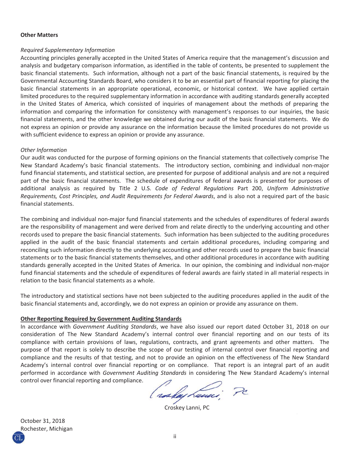#### **Other Matters**

#### *Required Supplementary Information*

Accounting principles generally accepted in the United States of America require that the management's discussion and analysis and budgetary comparison information, as identified in the table of contents, be presented to supplement the basic financial statements. Such information, although not a part of the basic financial statements, is required by the Governmental Accounting Standards Board, who considers it to be an essential part of financial reporting for placing the basic financial statements in an appropriate operational, economic, or historical context. We have applied certain limited procedures to the required supplementary information in accordance with auditing standards generally accepted in the United States of America, which consisted of inquiries of management about the methods of preparing the information and comparing the information for consistency with management's responses to our inquiries, the basic financial statements, and the other knowledge we obtained during our audit of the basic financial statements. We do not express an opinion or provide any assurance on the information because the limited procedures do not provide us with sufficient evidence to express an opinion or provide any assurance.

#### *Other Information*

Our audit was conducted for the purpose of forming opinions on the financial statements that collectively comprise The New Standard Academy's basic financial statements. The introductory section, combining and individual non-major fund financial statements, and statistical section, are presented for purpose of additional analysis and are not a required part of the basic financial statements. The schedule of expenditures of federal awards is presented for purposes of additional analysis as required by Title 2 U.S. *Code of Federal Regulations* Part 200, *Uniform Administrative Requirements, Cost Principles, and Audit Requirements for Federal Awards*, and is also not a required part of the basic financial statements.

The combining and individual non-major fund financial statements and the schedules of expenditures of federal awards are the responsibility of management and were derived from and relate directly to the underlying accounting and other records used to prepare the basic financial statements. Such information has been subjected to the auditing procedures applied in the audit of the basic financial statements and certain additional procedures, including comparing and reconciling such information directly to the underlying accounting and other records used to prepare the basic financial statements or to the basic financial statements themselves, and other additional procedures in accordance with auditing standards generally accepted in the United States of America. In our opinion, the combining and individual non-major fund financial statements and the schedule of expenditures of federal awards are fairly stated in all material respects in relation to the basic financial statements as a whole.

The introductory and statistical sections have not been subjected to the auditing procedures applied in the audit of the basic financial statements and, accordingly, we do not express an opinion or provide any assurance on them.

#### **Other Reporting Required by Government Auditing Standards**

In accordance with *Government Auditing Standards*, we have also issued our report dated October 31, 2018 on our consideration of The New Standard Academy's internal control over financial reporting and on our tests of its compliance with certain provisions of laws, regulations, contracts, and grant agreements and other matters. The purpose of that report is solely to describe the scope of our testing of internal control over financial reporting and compliance and the results of that testing, and not to provide an opinion on the effectiveness of The New Standard Academy's internal control over financial reporting or on compliance. That report is an integral part of an audit performed in accordance with *Government Auditing Standards* in considering The New Standard Academy's internal control over financial reporting and compliance.

( raskay Lauci

Croskey Lanni, PC

October 31, 2018 Rochester, Michigan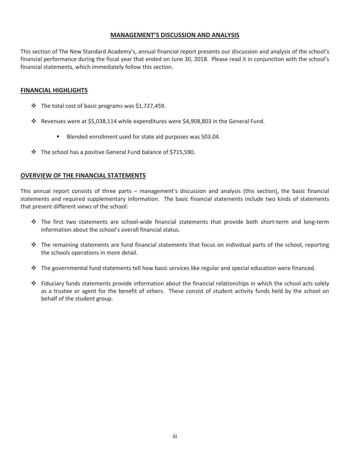## **MANAGEMENT'S DISCUSSION AND ANALYSIS**

This section of The New Standard Academy's, annual financial report presents our discussion and analysis of the school's financial performance during the fiscal year that ended on June 30, 2018. Please read it in conjunction with the school's financial statements, which immediately follow this section.

#### **FINANCIAL HIGHLIGHTS**

- $\cdot$  The total cost of basic programs was \$1,727,459.
- Revenues were at \$5,038,114 while expenditures were \$4,908,803 in the General Fund.
	- Blended enrollment used for state aid purposes was 503.04.
- The school has a positive General Fund balance of \$715,590.

#### **OVERVIEW OF THE FINANCIAL STATEMENTS**

This annual report consists of three parts – management's discussion and analysis (this section), the basic financial statements and required supplementary information. The basic financial statements include two kinds of statements that present different views of the school:

- $\cdot$  The first two statements are school-wide financial statements that provide both short-term and long-term information about the school's overall financial status.
- $\cdot \cdot$  The remaining statements are fund financial statements that focus on individual parts of the school, reporting the schools operations in more detail.
- $\cdot \cdot$  The governmental fund statements tell how basic services like regular and special education were financed.
- $\div$  Fiduciary funds statements provide information about the financial relationships in which the school acts solely as a trustee or agent for the benefit of others. These consist of student activity funds held by the school on behalf of the student group.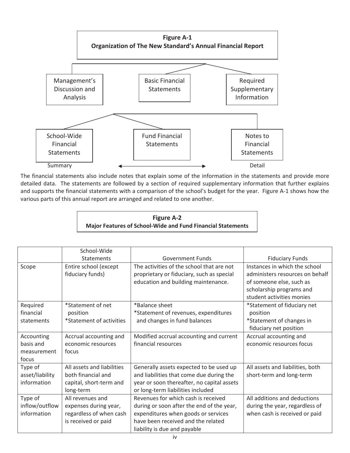

The financial statements also include notes that explain some of the information in the statements and provide more detailed data. The statements are followed by a section of required supplementary information that further explains and supports the financial statements with a comparison of the school's budget for the year. Figure A-1 shows how the various parts of this annual report are arranged and related to one another.

## **Figure A-2 Major Features of SchoolͲWide and Fund Financial Statements**

|                 | School-Wide                |                                            |                                  |
|-----------------|----------------------------|--------------------------------------------|----------------------------------|
|                 | Statements                 | Government Funds                           | <b>Fiduciary Funds</b>           |
| Scope           | Entire school (except      | The activities of the school that are not  | Instances in which the school    |
|                 | fiduciary funds)           | proprietary or fiduciary, such as special  | administers resources on behalf  |
|                 |                            | education and building maintenance.        | of someone else, such as         |
|                 |                            |                                            | scholarship programs and         |
|                 |                            |                                            | student activities monies        |
| Required        | *Statement of net          | *Balance sheet                             | *Statement of fiduciary net      |
| financial       | position                   | *Statement of revenues, expenditures       | position                         |
| statements      | *Statement of activities   | and changes in fund balances               | *Statement of changes in         |
|                 |                            |                                            | fiduciary net position           |
| Accounting      | Accrual accounting and     | Modified accrual accounting and current    | Accrual accounting and           |
| basis and       | economic resources         | financial resources                        | economic resources focus         |
| measurement     | focus                      |                                            |                                  |
| focus           |                            |                                            |                                  |
| Type of         | All assets and liabilities | Generally assets expected to be used up    | All assets and liabilities, both |
| asset/liability | both financial and         | and liabilities that come due during the   | short-term and long-term         |
| information     | capital, short-term and    | year or soon thereafter, no capital assets |                                  |
|                 | long-term                  | or long-term liabilities included          |                                  |
| Type of         | All revenues and           | Revenues for which cash is received        | All additions and deductions     |
| inflow/outflow  | expenses during year,      | during or soon after the end of the year,  | during the year, regardless of   |
| information     | regardless of when cash    | expenditures when goods or services        | when cash is received or paid    |
|                 | is received or paid        | have been received and the related         |                                  |
|                 |                            | liability is due and payable               |                                  |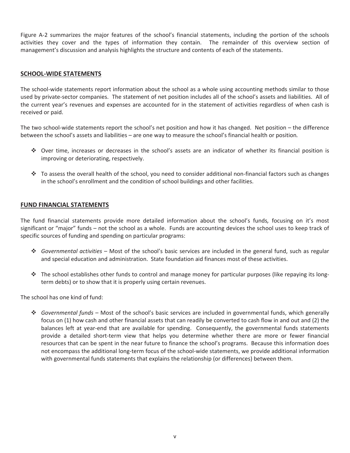Figure A-2 summarizes the major features of the school's financial statements, including the portion of the schools activities they cover and the types of information they contain. The remainder of this overview section of management's discussion and analysis highlights the structure and contents of each of the statements.

### **SCHOOLͲWIDE STATEMENTS**

The school-wide statements report information about the school as a whole using accounting methods similar to those used by private-sector companies. The statement of net position includes all of the school's assets and liabilities. All of the current year's revenues and expenses are accounted for in the statement of activities regardless of when cash is received or paid.

The two school-wide statements report the school's net position and how it has changed. Net position – the difference between the school's assets and liabilities – are one way to measure the school's financial health or position*.*

- Over time, increases or decreases in the school's assets are an indicator of whether its financial position is improving or deteriorating, respectively.
- $\cdot$  To assess the overall health of the school, you need to consider additional non-financial factors such as changes in the school's enrollment and the condition of school buildings and other facilities.

#### **FUND FINANCIAL STATEMENTS**

The fund financial statements provide more detailed information about the school's funds*,* focusing on it's most significant or "major" funds – not the school as a whole. Funds are accounting devices the school uses to keep track of specific sources of funding and spending on particular programs:

- *Governmental activities –* Most of the school's basic services are included in the general fund, such as regular and special education and administration. State foundation aid finances most of these activities.
- \* The school establishes other funds to control and manage money for particular purposes (like repaying its longterm debts) or to show that it is properly using certain revenues.

The school has one kind of fund:

 *Governmental funds –* Most of the school's basic services are included in governmental funds, which generally focus on (1) how cash and other financial assets that can readily be converted to cash flow in and out and (2) the balances left at year-end that are available for spending. Consequently, the governmental funds statements provide a detailed short-term view that helps you determine whether there are more or fewer financial resources that can be spent in the near future to finance the school's programs. Because this information does not encompass the additional long-term focus of the school-wide statements, we provide additional information with governmental funds statements that explains the relationship (or differences) between them.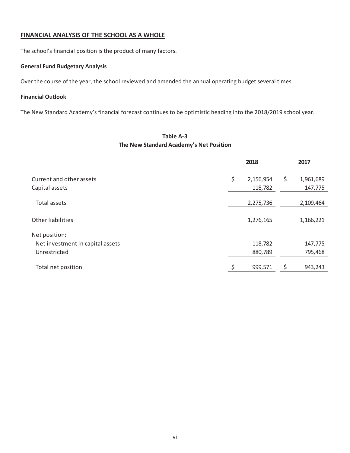## **FINANCIAL ANALYSIS OF THE SCHOOL AS A WHOLE**

The school's financial position is the product of many factors.

### **General Fund Budgetary Analysis**

Over the course of the year, the school reviewed and amended the annual operating budget several times.

#### **Financial Outlook**

The New Standard Academy's financial forecast continues to be optimistic heading into the 2018/2019 school year.

## $Table A-3$ **The New Standard Academy's Net Position**

|                                  |    | 2018      | 2017 |           |  |
|----------------------------------|----|-----------|------|-----------|--|
| Current and other assets         | \$ | 2,156,954 | \$   | 1,961,689 |  |
| Capital assets                   |    | 118,782   |      | 147,775   |  |
| Total assets                     |    | 2,275,736 |      | 2,109,464 |  |
| Other liabilities                |    | 1,276,165 |      | 1,166,221 |  |
| Net position:                    |    |           |      |           |  |
| Net investment in capital assets |    | 118,782   |      | 147,775   |  |
| Unrestricted                     |    | 880,789   |      | 795,468   |  |
| Total net position               |    | 999,571   | \$   | 943,243   |  |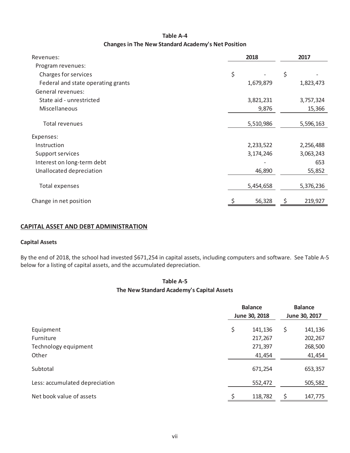## **Table A-4 Changes in The New Standard Academy's Net Position**

| Revenues:                          | 2018      | 2017 |           |  |
|------------------------------------|-----------|------|-----------|--|
| Program revenues:                  |           |      |           |  |
| Charges for services               | \$        | \$   |           |  |
| Federal and state operating grants | 1,679,879 |      | 1,823,473 |  |
| General revenues:                  |           |      |           |  |
| State aid - unrestricted           | 3,821,231 |      | 3,757,324 |  |
| Miscellaneous                      | 9,876     |      | 15,366    |  |
|                                    |           |      |           |  |
| Total revenues                     | 5,510,986 |      | 5,596,163 |  |
| Expenses:                          |           |      |           |  |
| Instruction                        | 2,233,522 |      | 2,256,488 |  |
| Support services                   | 3,174,246 |      | 3,063,243 |  |
| Interest on long-term debt         |           |      | 653       |  |
| Unallocated depreciation           | 46,890    |      | 55,852    |  |
| Total expenses                     | 5,454,658 |      | 5,376,236 |  |
| Change in net position             | 56,328    |      | 219,927   |  |

## **CAPITAL ASSET AND DEBT ADMINISTRATION**

#### **Capital Assets**

By the end of 2018, the school had invested \$671,254 in capital assets, including computers and software. See Table A-5 below for a listing of capital assets, and the accumulated depreciation.

## **The New Standard Academy's Capital Assets**  $Table A-5$

|                                | <b>Balance</b><br>June 30, 2018 |         |    | <b>Balance</b><br>June 30, 2017 |
|--------------------------------|---------------------------------|---------|----|---------------------------------|
| Equipment                      | \$                              | 141,136 | \$ | 141,136                         |
| Furniture                      |                                 | 217,267 |    | 202,267                         |
| Technology equipment           |                                 | 271,397 |    | 268,500                         |
| Other                          |                                 | 41,454  |    | 41,454                          |
| Subtotal                       |                                 | 671,254 |    | 653,357                         |
| Less: accumulated depreciation |                                 | 552,472 |    | 505,582                         |
| Net book value of assets       |                                 | 118,782 | \$ | 147,775                         |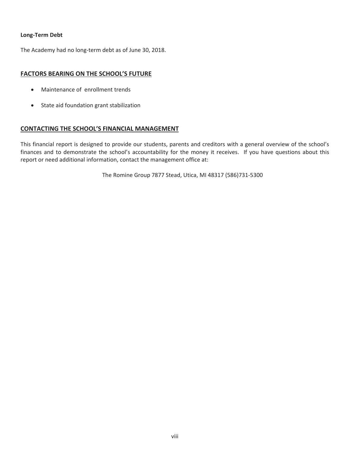#### **Long-Term** Debt

The Academy had no long-term debt as of June 30, 2018.

## **FACTORS BEARING ON THE SCHOOL'S FUTURE**

- Maintenance of enrollment trends
- State aid foundation grant stabilization

### **CONTACTING THE SCHOOL'S FINANCIAL MANAGEMENT**

This financial report is designed to provide our students, parents and creditors with a general overview of the school's finances and to demonstrate the school's accountability for the money it receives. If you have questions about this report or need additional information, contact the management office at:

The Romine Group 7877 Stead, Utica, MI 48317 (586)731-5300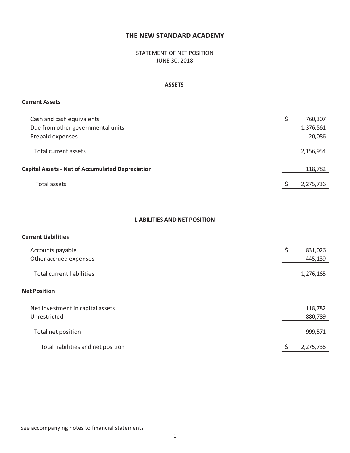STATEMENT OF NET POSITION JUNE 30, 2018

### **ASSETS**

#### **Current Assets**

| Cash and cash equivalents<br>Due from other governmental units<br>Prepaid expenses | \$<br>760,307<br>1,376,561<br>20,086 |
|------------------------------------------------------------------------------------|--------------------------------------|
| Total current assets                                                               | 2,156,954                            |
| <b>Capital Assets - Net of Accumulated Depreciation</b>                            | 118,782                              |
| Total assets                                                                       | 2,275,736                            |

## **LIABILITIES AND NET POSITION**

## **Current Liabilities**

| Accounts payable<br>Other accrued expenses       | \$<br>831,026<br>445,139 |
|--------------------------------------------------|--------------------------|
| <b>Total current liabilities</b>                 | 1,276,165                |
| <b>Net Position</b>                              |                          |
| Net investment in capital assets<br>Unrestricted | 118,782<br>880,789       |
| Total net position                               | 999,571                  |
| Total liabilities and net position               | 2,275,736                |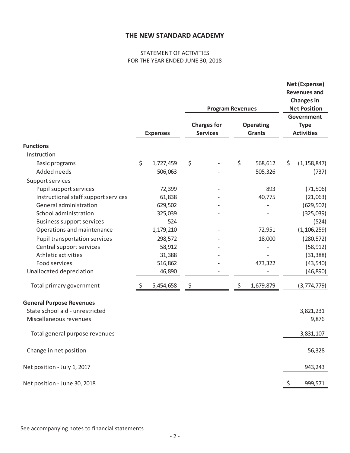## STATEMENT OF ACTIVITIES FOR THE YEAR ENDED JUNE 30, 2018

|                                      |                 | <b>Program Revenues</b>               |                                   |     | Net (Expense)<br><b>Revenues and</b><br><b>Changes in</b><br><b>Net Position</b> |
|--------------------------------------|-----------------|---------------------------------------|-----------------------------------|-----|----------------------------------------------------------------------------------|
|                                      | <b>Expenses</b> | <b>Charges for</b><br><b>Services</b> | <b>Operating</b><br><b>Grants</b> |     | Government<br><b>Type</b><br><b>Activities</b>                                   |
| <b>Functions</b>                     |                 |                                       |                                   |     |                                                                                  |
| Instruction                          |                 |                                       |                                   |     |                                                                                  |
| <b>Basic programs</b>                | \$<br>1,727,459 | \$                                    | \$<br>568,612                     | \$  | (1, 158, 847)                                                                    |
| Added needs                          | 506,063         |                                       | 505,326                           |     | (737)                                                                            |
| Support services                     |                 |                                       |                                   |     |                                                                                  |
| Pupil support services               | 72,399          |                                       | 893                               |     | (71, 506)                                                                        |
| Instructional staff support services | 61,838          |                                       | 40,775                            |     | (21,063)                                                                         |
| General administration               | 629,502         |                                       |                                   |     | (629, 502)                                                                       |
| School administration                | 325,039         |                                       |                                   |     | (325,039)                                                                        |
| <b>Business support services</b>     | 524             |                                       |                                   |     | (524)                                                                            |
| Operations and maintenance           | 1,179,210       |                                       | 72,951                            |     | (1, 106, 259)                                                                    |
| <b>Pupil transportation services</b> | 298,572         |                                       | 18,000                            |     | (280, 572)                                                                       |
| Central support services             | 58,912          |                                       |                                   |     | (58, 912)                                                                        |
| Athletic activities                  | 31,388          |                                       |                                   |     | (31, 388)                                                                        |
| Food services                        | 516,862         |                                       | 473,322                           |     | (43, 540)                                                                        |
| Unallocated depreciation             | 46,890          | -                                     |                                   |     | (46, 890)                                                                        |
| Total primary government             | \$<br>5,454,658 | \$                                    | \$<br>1,679,879                   |     | (3, 774, 779)                                                                    |
| <b>General Purpose Revenues</b>      |                 |                                       |                                   |     |                                                                                  |
| State school aid - unrestricted      |                 |                                       |                                   |     | 3,821,231                                                                        |
| Miscellaneous revenues               |                 |                                       |                                   |     | 9,876                                                                            |
| Total general purpose revenues       |                 |                                       |                                   |     | 3,831,107                                                                        |
| Change in net position               |                 |                                       |                                   |     | 56,328                                                                           |
| Net position - July 1, 2017          |                 |                                       |                                   |     | 943,243                                                                          |
| Net position - June 30, 2018         |                 |                                       |                                   | \$. | 999,571                                                                          |
|                                      |                 |                                       |                                   |     |                                                                                  |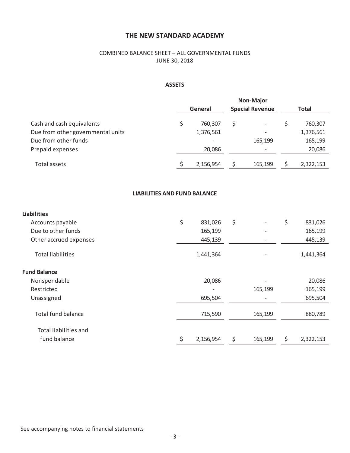## COMBINED BALANCE SHEET – ALL GOVERNMENTAL FUNDS JUNE 30, 2018

## **ASSETS**

|                                   | <b>Non-Major</b>                  |   |                   |       |           |  |
|-----------------------------------|-----------------------------------|---|-------------------|-------|-----------|--|
|                                   | <b>Special Revenue</b><br>General |   |                   | Total |           |  |
| Cash and cash equivalents         | 760,307                           | Ś | $\qquad \qquad -$ |       | 760,307   |  |
| Due from other governmental units | 1,376,561                         |   |                   |       | 1,376,561 |  |
| Due from other funds              | $\overline{\phantom{0}}$          |   | 165,199           |       | 165,199   |  |
| Prepaid expenses                  | 20,086                            |   |                   |       | 20,086    |  |
|                                   |                                   |   |                   |       |           |  |
| Total assets                      | 2,156,954                         |   | 165,199           |       | 2,322,153 |  |

## **LIABILITIES AND FUND BALANCE**

| <b>Liabilities</b>       |    |           |                                |                 |
|--------------------------|----|-----------|--------------------------------|-----------------|
| Accounts payable         | \$ | 831,026   | \$<br>$\overline{\phantom{a}}$ | \$<br>831,026   |
| Due to other funds       |    | 165,199   | $\overline{\phantom{a}}$       | 165,199         |
| Other accrued expenses   |    | 445,139   |                                | 445,139         |
| <b>Total liabilities</b> |    | 1,441,364 |                                | 1,441,364       |
| <b>Fund Balance</b>      |    |           |                                |                 |
| Nonspendable             |    | 20,086    |                                | 20,086          |
| Restricted               |    |           | 165,199                        | 165,199         |
| Unassigned               |    | 695,504   | $\qquad \qquad$                | 695,504         |
| Total fund balance       |    | 715,590   | 165,199                        | 880,789         |
| Total liabilities and    |    |           |                                |                 |
| fund balance             | Ś  | 2,156,954 | \$<br>165,199                  | \$<br>2,322,153 |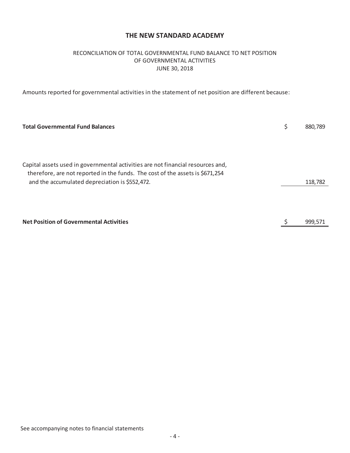## RECONCILIATION OF TOTAL GOVERNMENTAL FUND BALANCE TO NET POSITION OF GOVERNMENTAL ACTIVITIES JUNE 30, 2018

Amounts reported for governmental activities in the statement of net position are different because:

| <b>Total Governmental Fund Balances</b>                                         | 880.789 |
|---------------------------------------------------------------------------------|---------|
|                                                                                 |         |
|                                                                                 |         |
|                                                                                 |         |
| Capital assets used in governmental activities are not financial resources and, |         |
| therefore, are not reported in the funds. The cost of the assets is \$671,254   |         |
| and the accumulated depreciation is \$552,472.                                  | 118,782 |
|                                                                                 |         |
|                                                                                 |         |
|                                                                                 |         |
| <b>Net Position of Governmental Activities</b>                                  | 999,571 |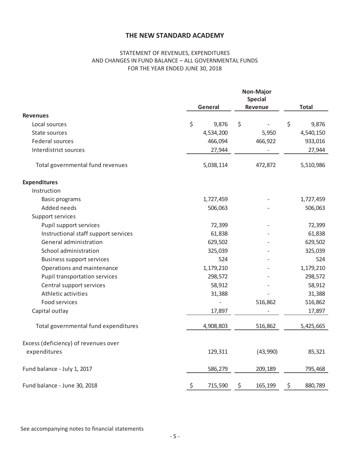## STATEMENT OF REVENUES, EXPENDITURES AND CHANGES IN FUND BALANCE – ALL GOVERNMENTAL FUNDS FOR THE YEAR ENDED JUNE 30, 2018

|                                      | Non-Major<br><b>Special</b><br>General<br>Revenue |    |          | <b>Total</b> |           |
|--------------------------------------|---------------------------------------------------|----|----------|--------------|-----------|
| <b>Revenues</b>                      |                                                   |    |          |              |           |
| Local sources                        | \$<br>9,876                                       | \$ |          | \$           | 9,876     |
| State sources                        | 4,534,200                                         |    | 5,950    |              | 4,540,150 |
| Federal sources                      | 466,094                                           |    | 466,922  |              | 933,016   |
| Interdistrict sources                | 27,944                                            |    |          |              | 27,944    |
| Total governmental fund revenues     | 5,038,114                                         |    | 472,872  |              | 5,510,986 |
| <b>Expenditures</b>                  |                                                   |    |          |              |           |
| Instruction                          |                                                   |    |          |              |           |
| <b>Basic programs</b>                | 1,727,459                                         |    |          |              | 1,727,459 |
| Added needs                          | 506,063                                           |    |          |              | 506,063   |
| Support services                     |                                                   |    |          |              |           |
| Pupil support services               | 72,399                                            |    |          |              | 72,399    |
| Instructional staff support services | 61,838                                            |    |          |              | 61,838    |
| General administration               | 629,502                                           |    |          |              | 629,502   |
| School administration                | 325,039                                           |    |          |              | 325,039   |
| <b>Business support services</b>     | 524                                               |    |          |              | 524       |
| Operations and maintenance           | 1,179,210                                         |    |          |              | 1,179,210 |
| Pupil transportation services        | 298,572                                           |    |          |              | 298,572   |
| Central support services             | 58,912                                            |    |          |              | 58,912    |
| Athletic activities                  | 31,388                                            |    |          |              | 31,388    |
| Food services                        |                                                   |    | 516,862  |              | 516,862   |
| Capital outlay                       | 17,897                                            |    |          |              | 17,897    |
| Total governmental fund expenditures | 4,908,803                                         |    | 516,862  |              | 5,425,665 |
| Excess (deficiency) of revenues over |                                                   |    |          |              |           |
| expenditures                         | 129,311                                           |    | (43,990) |              | 85,321    |
| Fund balance - July 1, 2017          | 586,279                                           |    | 209,189  |              | 795,468   |
| Fund balance - June 30, 2018         | \$<br>715,590                                     | \$ | 165,199  | \$           | 880,789   |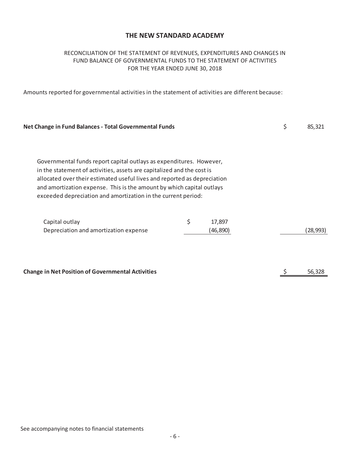## RECONCILIATION OF THE STATEMENT OF REVENUES, EXPENDITURES AND CHANGES IN FUND BALANCE OF GOVERNMENTAL FUNDS TO THE STATEMENT OF ACTIVITIES FOR THE YEAR ENDED JUNE 30, 2018

Amounts reported for governmental activities in the statement of activities are different because:

| <b>Net Change in Fund Balances - Total Governmental Funds</b>                                                                                                                                                                                                                                                                                                       |                           | \$<br>85,321 |
|---------------------------------------------------------------------------------------------------------------------------------------------------------------------------------------------------------------------------------------------------------------------------------------------------------------------------------------------------------------------|---------------------------|--------------|
| Governmental funds report capital outlays as expenditures. However,<br>in the statement of activities, assets are capitalized and the cost is<br>allocated over their estimated useful lives and reported as depreciation<br>and amortization expense. This is the amount by which capital outlays<br>exceeded depreciation and amortization in the current period: |                           |              |
| Capital outlay<br>Depreciation and amortization expense                                                                                                                                                                                                                                                                                                             | \$<br>17,897<br>(46, 890) | (28, 993)    |
| <b>Change in Net Position of Governmental Activities</b>                                                                                                                                                                                                                                                                                                            |                           | 56,328       |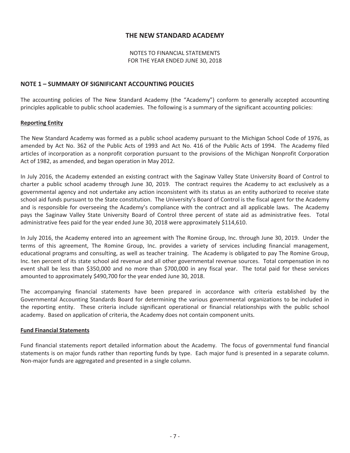NOTES TO FINANCIAL STATEMENTS FOR THE YEAR ENDED JUNE 30, 2018

### **NOTE 1 – SUMMARY OF SIGNIFICANT ACCOUNTING POLICIES**

The accounting policies of The New Standard Academy (the "Academy") conform to generally accepted accounting principles applicable to public school academies. The following is a summary of the significant accounting policies:

#### **Reporting Entity**

The New Standard Academy was formed as a public school academy pursuant to the Michigan School Code of 1976, as amended by Act No. 362 of the Public Acts of 1993 and Act No. 416 of the Public Acts of 1994. The Academy filed articles of incorporation as a nonprofit corporation pursuant to the provisions of the Michigan Nonprofit Corporation Act of 1982, as amended, and began operation in May 2012.

In July 2016, the Academy extended an existing contract with the Saginaw Valley State University Board of Control to charter a public school academy through June 30, 2019. The contract requires the Academy to act exclusively as a governmental agency and not undertake any action inconsistent with its status as an entity authorized to receive state school aid funds pursuant to the State constitution. The University's Board of Control is the fiscal agent for the Academy and is responsible for overseeing the Academy's compliance with the contract and all applicable laws. The Academy pays the Saginaw Valley State University Board of Control three percent of state aid as administrative fees. Total administrative fees paid for the year ended June 30, 2018 were approximately \$114,610.

In July 2016, the Academy entered into an agreement with The Romine Group, Inc. through June 30, 2019. Under the terms of this agreement, The Romine Group, Inc. provides a variety of services including financial management, educational programs and consulting, as well as teacher training. The Academy is obligated to pay The Romine Group, Inc. ten percent of its state school aid revenue and all other governmental revenue sources.Total compensation in no event shall be less than \$350,000 and no more than \$700,000 in any fiscal year. The total paid for these services amounted to approximately \$490,700 for the year ended June 30, 2018.

The accompanying financial statements have been prepared in accordance with criteria established by the Governmental Accounting Standards Board for determining the various governmental organizations to be included in the reporting entity. These criteria include significant operational or financial relationships with the public school academy. Based on application of criteria, the Academy does not contain component units.

#### **Fund Financial Statements**

Fund financial statements report detailed information about the Academy. The focus of governmental fund financial statements is on major funds rather than reporting funds by type. Each major fund is presented in a separate column. Non-major funds are aggregated and presented in a single column.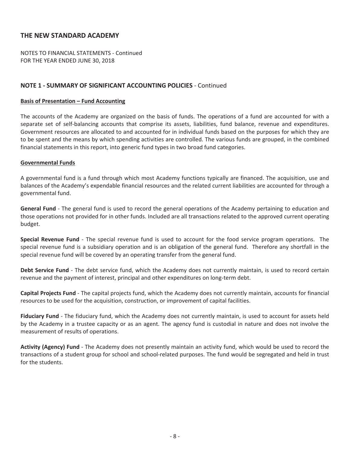NOTES TO FINANCIAL STATEMENTS - Continued FOR THE YEAR ENDED JUNE 30, 2018

## **NOTE 1 - SUMMARY OF SIGNIFICANT ACCOUNTING POLICIES - Continued**

#### **Basis of Presentation – Fund Accounting**

The accounts of the Academy are organized on the basis of funds. The operations of a fund are accounted for with a separate set of self-balancing accounts that comprise its assets, liabilities, fund balance, revenue and expenditures. Government resources are allocated to and accounted for in individual funds based on the purposes for which they are to be spent and the means by which spending activities are controlled. The various funds are grouped, in the combined financial statements in this report, into generic fund types in two broad fund categories.

#### **Governmental Funds**

A governmental fund is a fund through which most Academy functions typically are financed. The acquisition, use and balances of the Academy's expendable financial resources and the related current liabilities are accounted for through a governmental fund.

**General Fund** - The general fund is used to record the general operations of the Academy pertaining to education and those operations not provided for in other funds. Included are all transactions related to the approved current operating budget.

**Special Revenue Fund** - The special revenue fund is used to account for the food service program operations. The special revenue fund is a subsidiary operation and is an obligation of the general fund. Therefore any shortfall in the special revenue fund will be covered by an operating transfer from the general fund.

**Debt Service Fund** - The debt service fund, which the Academy does not currently maintain, is used to record certain revenue and the payment of interest, principal and other expenditures on long-term debt.

**Capital Projects Fund** - The capital projects fund, which the Academy does not currently maintain, accounts for financial resources to be used for the acquisition, construction, or improvement of capital facilities.

**Fiduciary Fund** - The fiduciary fund, which the Academy does not currently maintain, is used to account for assets held by the Academy in a trustee capacity or as an agent. The agency fund is custodial in nature and does not involve the measurement of results of operations.

**Activity (Agency) Fund** - The Academy does not presently maintain an activity fund, which would be used to record the transactions of a student group for school and school-related purposes. The fund would be segregated and held in trust for the students.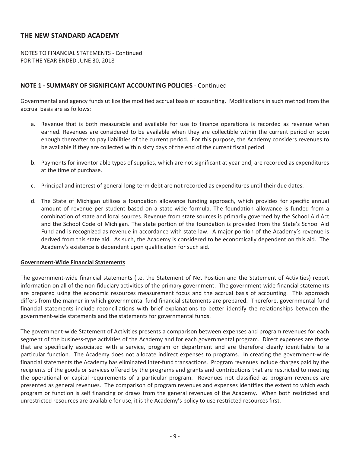NOTES TO FINANCIAL STATEMENTS - Continued FOR THE YEAR ENDED JUNE 30, 2018

## **NOTE 1 - SUMMARY OF SIGNIFICANT ACCOUNTING POLICIES - Continued**

Governmental and agency funds utilize the modified accrual basis of accounting.Modifications in such method from the accrual basis are as follows:

- a. Revenue that is both measurable and available for use to finance operations is recorded as revenue when earned. Revenues are considered to be available when they are collectible within the current period or soon enough thereafter to pay liabilities of the current period. For this purpose, the Academy considers revenues to be available if they are collected within sixty days of the end of the current fiscal period.
- b. Payments for inventoriable types of supplies, which are not significant at year end, are recorded as expenditures at the time of purchase.
- c. Principal and interest of general long-term debt are not recorded as expenditures until their due dates.
- d. The State of Michigan utilizes a foundation allowance funding approach, which provides for specific annual amount of revenue per student based on a state-wide formula. The foundation allowance is funded from a combination of state and local sources. Revenue from state sources is primarily governed by the School Aid Act and the School Code of Michigan. The state portion of the foundation is provided from the State's School Aid Fund and is recognized as revenue in accordance with state law. A major portion of the Academy's revenue is derived from this state aid. As such, the Academy is considered to be economically dependent on this aid. The Academy's existence is dependent upon qualification for such aid.

#### **GovernmentͲWide Financial Statements**

The government-wide financial statements (i.e. the Statement of Net Position and the Statement of Activities) report information on all of the non-fiduciary activities of the primary government. The government-wide financial statements are prepared using the economic resources measurement focus and the accrual basis of accounting. This approach differs from the manner in which governmental fund financial statements are prepared. Therefore, governmental fund financial statements include reconciliations with brief explanations to better identify the relationships between the government-wide statements and the statements for governmental funds.

The government-wide Statement of Activities presents a comparison between expenses and program revenues for each segment of the business-type activities of the Academy and for each governmental program. Direct expenses are those that are specifically associated with a service, program or department and are therefore clearly identifiable to a particular function. The Academy does not allocate indirect expenses to programs. In creating the government-wide financial statements the Academy has eliminated inter-fund transactions. Program revenues include charges paid by the recipients of the goods or services offered by the programs and grants and contributions that are restricted to meeting the operational or capital requirements of a particular program. Revenues not classified as program revenues are presented as general revenues.The comparison of program revenues and expenses identifies the extent to which each program or function is self financing or draws from the general revenues of the Academy. When both restricted and unrestricted resources are available for use, it is the Academy's policy to use restricted resources first.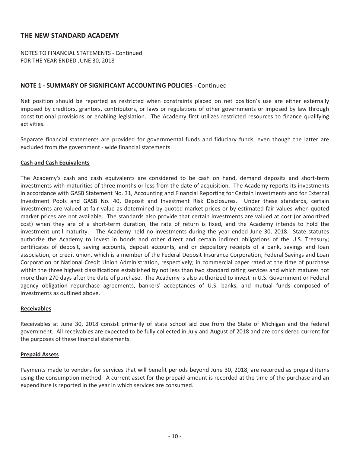NOTES TO FINANCIAL STATEMENTS - Continued FOR THE YEAR ENDED JUNE 30, 2018

## **NOTE 1 - SUMMARY OF SIGNIFICANT ACCOUNTING POLICIES - Continued**

Net position should be reported as restricted when constraints placed on net position's use are either externally imposed by creditors, grantors, contributors, or laws or regulations of other governments or imposed by law through constitutional provisions or enabling legislation. The Academy first utilizes restricted resources to finance qualifying activities.

Separate financial statements are provided for governmental funds and fiduciary funds, even though the latter are excluded from the government - wide financial statements.

#### **Cash and Cash Equivalents**

The Academy's cash and cash equivalents are considered to be cash on hand, demand deposits and short-term investments with maturities of three months or less from the date of acquisition. The Academy reports its investments in accordance with GASB Statement No. 31, Accounting and Financial Reporting for Certain Investments and for External Investment Pools and GASB No. 40, Deposit and Investment Risk Disclosures. Under these standards, certain investments are valued at fair value as determined by quoted market prices or by estimated fair values when quoted market prices are not available. The standards also provide that certain investments are valued at cost (or amortized cost) when they are of a short-term duration, the rate of return is fixed, and the Academy intends to hold the investment until maturity. The Academy held no investments during the year ended June 30, 2018. State statutes authorize the Academy to invest in bonds and other direct and certain indirect obligations of the U.S. Treasury; certificates of deposit, saving accounts, deposit accounts, and or depository receipts of a bank, savings and loan association, or credit union, which is a member of the Federal Deposit Insurance Corporation, Federal Savings and Loan Corporation or National Credit Union Administration, respectively; in commercial paper rated at the time of purchase within the three highest classifications established by not less than two standard rating services and which matures not more than 270 days after the date of purchase. The Academy is also authorized to invest in U.S. Government or Federal agency obligation repurchase agreements, bankers' acceptances of U.S. banks, and mutual funds composed of investments as outlined above.

#### **Receivables**

Receivables at June 30, 2018 consist primarily of state school aid due from the State of Michigan and the federal government.All receivables are expected to be fully collected in July and August of 2018 and are considered current for the purposes of these financial statements.

#### **Prepaid Assets**

Payments made to vendors for services that will benefit periods beyond June 30, 2018, are recorded as prepaid items using the consumption method. A current asset for the prepaid amount is recorded at the time of the purchase and an expenditure is reported in the year in which services are consumed.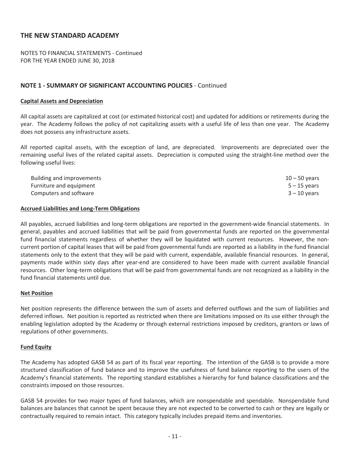NOTES TO FINANCIAL STATEMENTS - Continued FOR THE YEAR ENDED JUNE 30, 2018

## **NOTE 1 - SUMMARY OF SIGNIFICANT ACCOUNTING POLICIES - Continued**

#### **Capital Assets and Depreciation**

All capital assets are capitalized at cost (or estimated historical cost) and updated for additions or retirements during the year. The Academy follows the policy of not capitalizing assets with a useful life of less than one year. The Academy does not possess any infrastructure assets.

All reported capital assets, with the exception of land, are depreciated. Improvements are depreciated over the remaining useful lives of the related capital assets. Depreciation is computed using the straight-line method over the following useful lives:

| Building and improvements | $10 - 50$ years |
|---------------------------|-----------------|
| Furniture and equipment   | $5 - 15$ vears  |
| Computers and software    | $3 - 10$ years  |

#### **Accrued Liabilities and LongͲTerm Obligations**

All payables, accrued liabilities and long-term obligations are reported in the government-wide financial statements. In general, payables and accrued liabilities that will be paid from governmental funds are reported on the governmental fund financial statements regardless of whether they will be liquidated with current resources. However, the noncurrent portion of capital leases that will be paid from governmental funds are reported as a liability in the fund financial statements only to the extent that they will be paid with current, expendable, available financial resources. In general, payments made within sixty days after year-end are considered to have been made with current available financial resources. Other long-term obligations that will be paid from governmental funds are not recognized as a liability in the fund financial statements until due.

#### **Net Position**

Net position represents the difference between the sum of assets and deferred outflows and the sum of liabilities and deferred inflows. Net position is reported as restricted when there are limitations imposed on its use either through the enabling legislation adopted by the Academy or through external restrictions imposed by creditors, grantors or laws of regulations of other governments.

#### **Fund Equity**

The Academy has adopted GASB 54 as part of its fiscal year reporting. The intention of the GASB is to provide a more structured classification of fund balance and to improve the usefulness of fund balance reporting to the users of the Academy's financial statements. The reporting standard establishes a hierarchy for fund balance classifications and the constraints imposed on those resources.

GASB 54 provides for two major types of fund balances, which are nonspendable and spendable.Nonspendable fund balances are balances that cannot be spent because they are not expected to be converted to cash or they are legally or contractually required to remain intact. This category typically includes prepaid items and inventories.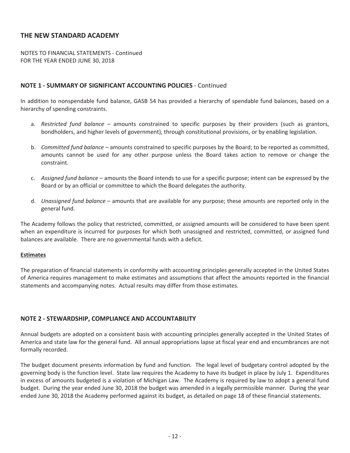NOTES TO FINANCIAL STATEMENTS - Continued FOR THE YEAR ENDED JUNE 30, 2018

## **NOTE 1 - SUMMARY OF SIGNIFICANT ACCOUNTING POLICIES - Continued**

In addition to nonspendable fund balance, GASB 54 has provided a hierarchy of spendable fund balances, based on a hierarchy of spending constraints.

- a. *Restricted fund balance* amounts constrained to specific purposes by their providers (such as grantors, bondholders, and higher levels of government), through constitutional provisions, or by enabling legislation.
- b. *Committed fund balance* amounts constrained to specific purposes by the Board; to be reported as committed, amounts cannot be used for any other purpose unless the Board takes action to remove or change the constraint.
- c. *Assigned fund balance* amounts the Board intends to use for a specific purpose; intent can be expressed by the Board or by an official or committee to which the Board delegates the authority.
- d. *Unassigned fund balance* amounts that are available for any purpose; these amounts are reported only in the general fund.

The Academy follows the policy that restricted, committed, or assigned amounts will be considered to have been spent when an expenditure is incurred for purposes for which both unassigned and restricted, committed, or assigned fund balances are available. There are no governmental funds with a deficit.

#### **Estimates**

The preparation of financial statements in conformity with accounting principles generally accepted in the United States of America requires management to make estimates and assumptions that affect the amounts reported in the financial statements and accompanying notes. Actual results may differ from those estimates.

## **NOTE 2ͲSTEWARDSHIP, COMPLIANCE AND ACCOUNTABILITY**

Annual budgets are adopted on a consistent basis with accounting principles generally accepted in the United States of America and state law for the general fund. All annual appropriations lapse at fiscal year end and encumbrances are not formally recorded.

The budget document presents information by fund and function. The legal level of budgetary control adopted by the governing body is the function level. State law requires the Academy to have its budget in place by July 1. Expenditures in excess of amounts budgeted is a violation of Michigan Law. The Academy is required by law to adopt a general fund budget. During the year ended June 30, 2018 the budget was amended in a legally permissible manner. During the year ended June 30, 2018 the Academy performed against its budget, as detailed on page 18 of these financial statements.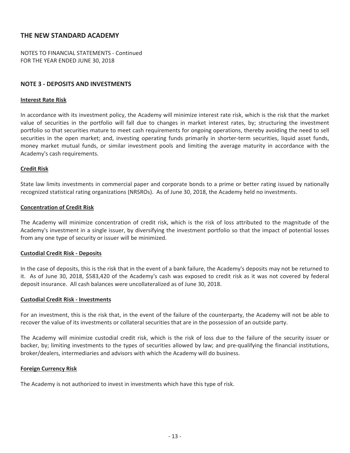NOTES TO FINANCIAL STATEMENTS - Continued FOR THE YEAR ENDED JUNE 30, 2018

#### **NOTE 3 - DEPOSITS AND INVESTMENTS**

#### **Interest Rate Risk**

In accordance with its investment policy, the Academy will minimize interest rate risk, which is the risk that the market value of securities in the portfolio will fall due to changes in market interest rates, by; structuring the investment portfolio so that securities mature to meet cash requirements for ongoing operations, thereby avoiding the need to sell securities in the open market; and, investing operating funds primarily in shorter-term securities, liquid asset funds, money market mutual funds, or similar investment pools and limiting the average maturity in accordance with the Academy's cash requirements.

#### **Credit Risk**

State law limits investments in commercial paper and corporate bonds to a prime or better rating issued by nationally recognized statistical rating organizations (NRSROs). As of June 30, 2018, the Academy held no investments.

#### **Concentration of Credit Risk**

The Academy will minimize concentration of credit risk, which is the risk of loss attributed to the magnitude of the Academy's investment in a single issuer, by diversifying the investment portfolio so that the impact of potential losses from any one type of security or issuer will be minimized.

#### **Custodial Credit Risk - Deposits**

In the case of deposits, this is the risk that in the event of a bank failure, the Academy's deposits may not be returned to it. As of June 30, 2018, \$583,420 of the Academy's cash was exposed to credit risk as it was not covered by federal deposit insurance.All cash balances were uncollateralized as of June 30, 2018.

#### **Custodial Credit Risk - Investments**

For an investment, this is the risk that, in the event of the failure of the counterparty, the Academy will not be able to recover the value of its investments or collateral securities that are in the possession of an outside party.

The Academy will minimize custodial credit risk, which is the risk of loss due to the failure of the security issuer or backer, by; limiting investments to the types of securities allowed by law; and pre-qualifying the financial institutions, broker/dealers, intermediaries and advisors with which the Academy will do business.

#### **Foreign Currency Risk**

The Academy is not authorized to invest in investments which have this type of risk.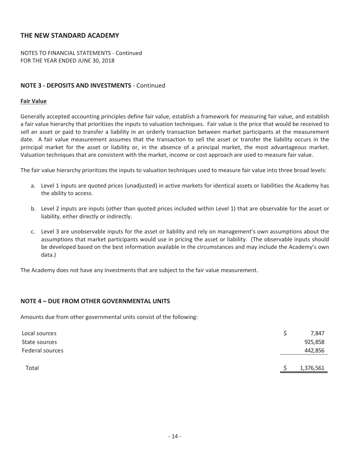NOTES TO FINANCIAL STATEMENTS - Continued FOR THE YEAR ENDED JUNE 30, 2018

### **NOTE 3 - DEPOSITS AND INVESTMENTS - Continued**

#### **Fair Value**

Generally accepted accounting principles define fair value, establish a framework for measuring fair value, and establish a fair value hierarchy that prioritizes the inputs to valuation techniques. Fair value is the price that would be received to sell an asset or paid to transfer a liability in an orderly transaction between market participants at the measurement date. A fair value measurement assumes that the transaction to sell the asset or transfer the liability occurs in the principal market for the asset or liability or, in the absence of a principal market, the most advantageous market. Valuation techniques that are consistent with the market, income or cost approach are used to measure fair value.

The fair value hierarchy prioritizes the inputs to valuation techniques used to measure fair value into three broad levels:

- a. Level 1 inputs are quoted prices (unadjusted) in active markets for identical assets or liabilities the Academy has the ability to access.
- b. Level 2 inputs are inputs (other than quoted prices included within Level 1) that are observable for the asset or liability, either directly or indirectly.
- c. Level 3 are unobservable inputs for the asset or liability and rely on management's own assumptions about the assumptions that market participants would use in pricing the asset or liability.(The observable inputs should be developed based on the best information available in the circumstances and may include the Academy's own data.)

The Academy does not have any investments that are subject to the fair value measurement.

#### **NOTE 4 – DUE FROM OTHER GOVERNMENTAL UNITS**

Amounts due from other governmental units consist of the following:

| Local sources   |  | 7,847     |
|-----------------|--|-----------|
| State sources   |  | 925,858   |
| Federal sources |  | 442,856   |
|                 |  |           |
| Total           |  | 1,376,561 |
|                 |  |           |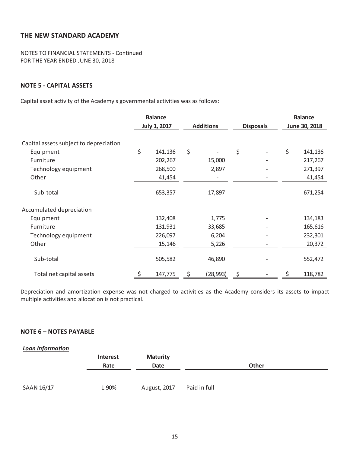NOTES TO FINANCIAL STATEMENTS - Continued FOR THE YEAR ENDED JUNE 30, 2018

## **NOTE 5** - **CAPITAL** ASSETS

Capital asset activity of the Academy's governmental activities was as follows:

|                                        | <b>Balance</b>      |         |    |                  |    |                  | <b>Balance</b> |               |
|----------------------------------------|---------------------|---------|----|------------------|----|------------------|----------------|---------------|
|                                        | <b>July 1, 2017</b> |         |    | <b>Additions</b> |    | <b>Disposals</b> |                | June 30, 2018 |
| Capital assets subject to depreciation |                     |         |    |                  |    |                  |                |               |
| Equipment                              | \$                  | 141,136 | \$ |                  | \$ |                  | \$             | 141,136       |
| Furniture                              |                     | 202,267 |    | 15,000           |    |                  |                | 217,267       |
| Technology equipment                   |                     | 268,500 |    | 2,897            |    |                  |                | 271,397       |
| Other                                  |                     | 41,454  |    |                  |    |                  |                | 41,454        |
| Sub-total                              |                     | 653,357 |    | 17,897           |    |                  |                | 671,254       |
| Accumulated depreciation               |                     |         |    |                  |    |                  |                |               |
| Equipment                              |                     | 132,408 |    | 1,775            |    |                  |                | 134,183       |
| Furniture                              |                     | 131,931 |    | 33,685           |    |                  |                | 165,616       |
| Technology equipment                   |                     | 226,097 |    | 6,204            |    |                  |                | 232,301       |
| Other                                  |                     | 15,146  |    | 5,226            |    |                  |                | 20,372        |
| Sub-total                              |                     | 505,582 |    | 46,890           |    |                  |                | 552,472       |
| Total net capital assets               | \$                  | 147,775 | \$ | (28, 993)        | \$ |                  | \$             | 118,782       |

Depreciation and amortization expense was not charged to activities as the Academy considers its assets to impact multiple activities and allocation is not practical.

## **NOTE 6 – NOTES PAYABLE**

| <b>Loan Information</b> |                 |                 |              |              |  |
|-------------------------|-----------------|-----------------|--------------|--------------|--|
|                         | <b>Interest</b> | <b>Maturity</b> |              |              |  |
|                         | Rate            | Date            |              | <b>Other</b> |  |
|                         |                 |                 |              |              |  |
|                         |                 |                 |              |              |  |
| SAAN 16/17              | 1.90%           | August, 2017    | Paid in full |              |  |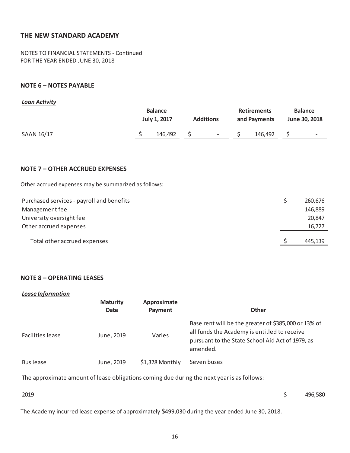NOTES TO FINANCIAL STATEMENTS - Continued FOR THE YEAR ENDED JUNE 30, 2018

## **NOTE 6 – NOTES PAYABLE**

#### *Loan Activity*

|            | <b>Balance</b> |                     |                  |                          | <b>Retirements</b> | <b>Balance</b> |               |                          |
|------------|----------------|---------------------|------------------|--------------------------|--------------------|----------------|---------------|--------------------------|
|            |                | <b>July 1, 2017</b> | <b>Additions</b> |                          | and Payments       |                | June 30, 2018 |                          |
| SAAN 16/17 |                | 146,492             |                  | $\overline{\phantom{a}}$ |                    | 146,492        |               | $\overline{\phantom{0}}$ |

#### **NOTE 7 – OTHER ACCRUED EXPENSES**

Other accrued expenses may be summarized as follows:

| Management fee<br>University oversight fee | 146,889<br>20,847 |
|--------------------------------------------|-------------------|
| Other accrued expenses                     | 16,727            |
| Total other accrued expenses               | 445,139           |

#### **NOTE 8 – OPERATING LEASES**

#### *Lease Information*

|                  | <b>Maturity</b><br>Date | Approximate<br>Payment | <b>Other</b>                                                                                                                                                         |
|------------------|-------------------------|------------------------|----------------------------------------------------------------------------------------------------------------------------------------------------------------------|
| Facilities lease | June, 2019              | Varies                 | Base rent will be the greater of \$385,000 or 13% of<br>all funds the Academy is entitled to receive<br>pursuant to the State School Aid Act of 1979, as<br>amended. |
| Bus lease        | June, 2019              | \$1,328 Monthly        | Seven buses                                                                                                                                                          |

The approximate amount of lease obligations coming due during the next year is as follows:

 $2019$  \$496,580

The Academy incurred lease expense of approximately \$499,030 during the year ended June 30, 2018.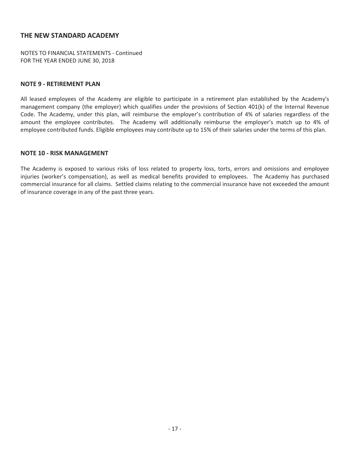NOTES TO FINANCIAL STATEMENTS - Continued FOR THE YEAR ENDED JUNE 30, 2018

#### **NOTE 9 - RETIREMENT PLAN**

All leased employees of the Academy are eligible to participate in a retirement plan established by the Academy's management company (the employer) which qualifies under the provisions of Section 401(k) of the Internal Revenue Code. The Academy, under this plan, will reimburse the employer's contribution of 4% of salaries regardless of the amount the employee contributes. The Academy will additionally reimburse the employer's match up to 4% of employee contributed funds. Eligible employees may contribute up to 15% of their salaries under the terms of this plan.

#### **NOTE 10 - RISK MANAGEMENT**

The Academy is exposed to various risks of loss related to property loss, torts, errors and omissions and employee injuries (worker's compensation), as well as medical benefits provided to employees. The Academy has purchased commercial insurance for all claims. Settled claims relating to the commercial insurance have not exceeded the amount of insurance coverage in any of the past three years.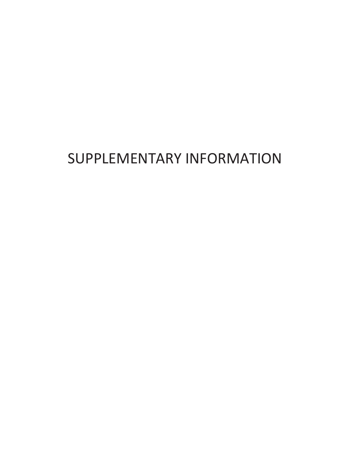# SUPPLEMENTARY INFORMATION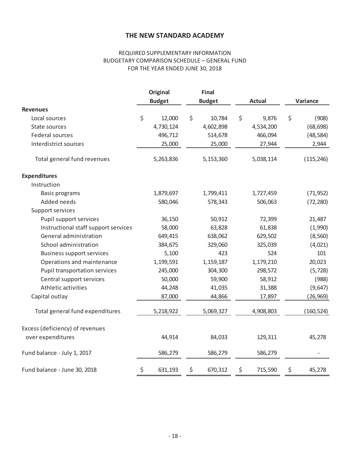## REQUIRED SUPPLEMENTARY INFORMATION BUDGETARY COMPARISON SCHEDULE – GENERAL FUND FOR THE YEAR ENDED JUNE 30, 2018

|                                      | <b>Original</b> |               | Final |               |               |          |            |
|--------------------------------------|-----------------|---------------|-------|---------------|---------------|----------|------------|
|                                      |                 | <b>Budget</b> |       | <b>Budget</b> | <b>Actual</b> | Variance |            |
| <b>Revenues</b>                      |                 |               |       |               |               |          |            |
| Local sources                        | \$              | 12,000        | \$    | 10,784        | \$<br>9,876   | \$       | (908)      |
| State sources                        |                 | 4,730,124     |       | 4,602,898     | 4,534,200     |          | (68, 698)  |
| Federal sources                      |                 | 496,712       |       | 514,678       | 466,094       |          | (48, 584)  |
| Interdistrict sources                |                 | 25,000        |       | 25,000        | 27,944        |          | 2,944      |
| Total general fund revenues          |                 | 5,263,836     |       | 5,153,360     | 5,038,114     |          | (115, 246) |
| <b>Expenditures</b>                  |                 |               |       |               |               |          |            |
| Instruction                          |                 |               |       |               |               |          |            |
| <b>Basic programs</b>                |                 | 1,879,697     |       | 1,799,411     | 1,727,459     |          | (71, 952)  |
| Added needs                          |                 | 580,046       |       | 578,343       | 506,063       |          | (72, 280)  |
| Support services                     |                 |               |       |               |               |          |            |
| Pupil support services               |                 | 36,150        |       | 50,912        | 72,399        |          | 21,487     |
| Instructional staff support services |                 | 58,000        |       | 63,828        | 61,838        |          | (1,990)    |
| General administration               |                 | 649,415       |       | 638,062       | 629,502       |          | (8, 560)   |
| School administration                |                 | 384,675       |       | 329,060       | 325,039       |          | (4,021)    |
| <b>Business support services</b>     |                 | 5,100         |       | 423           | 524           |          | 101        |
| Operations and maintenance           |                 | 1,199,591     |       | 1,159,187     | 1,179,210     |          | 20,023     |
| <b>Pupil transportation services</b> |                 | 245,000       |       | 304,300       | 298,572       |          | (5, 728)   |
| Central support services             |                 | 50,000        |       | 59,900        | 58,912        |          | (988)      |
| Athletic activities                  |                 | 44,248        |       | 41,035        | 31,388        |          | (9,647)    |
| Capital outlay                       |                 | 87,000        |       | 44,866        | 17,897        |          | (26, 969)  |
| Total general fund expenditures      |                 | 5,218,922     |       | 5,069,327     | 4,908,803     |          | (160, 524) |
| Excess (deficiency) of revenues      |                 |               |       |               |               |          |            |
| over expenditures                    |                 | 44,914        |       | 84,033        | 129,311       |          | 45,278     |
| Fund balance - July 1, 2017          |                 | 586,279       |       | 586,279       | 586,279       |          |            |
| Fund balance - June 30, 2018         | \$              | 631,193       | \$    | 670,312       | \$<br>715,590 | \$       | 45,278     |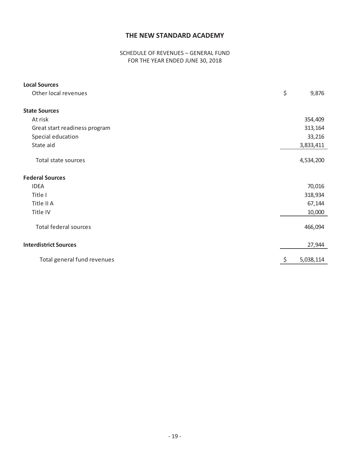## SCHEDULE OF REVENUES – GENERAL FUND FOR THE YEAR ENDED JUNE 30, 2018

| <b>Local Sources</b>          |    |           |
|-------------------------------|----|-----------|
| Other local revenues          | \$ | 9,876     |
| <b>State Sources</b>          |    |           |
| At risk                       |    | 354,409   |
| Great start readiness program |    | 313,164   |
| Special education             |    | 33,216    |
| State aid                     |    | 3,833,411 |
| Total state sources           |    | 4,534,200 |
| <b>Federal Sources</b>        |    |           |
| <b>IDEA</b>                   |    | 70,016    |
| Title I                       |    | 318,934   |
| Title II A                    |    | 67,144    |
| Title IV                      |    | 10,000    |
| <b>Total federal sources</b>  |    | 466,094   |
| <b>Interdistrict Sources</b>  |    | 27,944    |
| Total general fund revenues   | Ş  | 5,038,114 |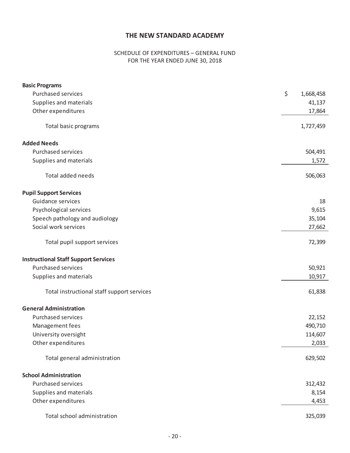## SCHEDULE OF EXPENDITURES – GENERAL FUND FOR THE YEAR ENDED JUNE 30, 2018

| <b>Basic Programs</b>                       |                 |
|---------------------------------------------|-----------------|
| <b>Purchased services</b>                   | \$<br>1,668,458 |
| Supplies and materials                      | 41,137          |
| Other expenditures                          | 17,864          |
| Total basic programs                        | 1,727,459       |
| <b>Added Needs</b>                          |                 |
| <b>Purchased services</b>                   | 504,491         |
| Supplies and materials                      | 1,572           |
| Total added needs                           | 506,063         |
| <b>Pupil Support Services</b>               |                 |
| Guidance services                           | 18              |
| Psychological services                      | 9,615           |
| Speech pathology and audiology              | 35,104          |
| Social work services                        | 27,662          |
| Total pupil support services                | 72,399          |
| <b>Instructional Staff Support Services</b> |                 |
| <b>Purchased services</b>                   | 50,921          |
| Supplies and materials                      | 10,917          |
| Total instructional staff support services  | 61,838          |
| <b>General Administration</b>               |                 |
| <b>Purchased services</b>                   | 22,152          |
| Management fees                             | 490,710         |
| University oversight                        | 114,607         |
| Other expenditures                          | 2,033           |
| Total general administration                | 629,502         |
| <b>School Administration</b>                |                 |
| <b>Purchased services</b>                   | 312,432         |
| Supplies and materials                      | 8,154           |
| Other expenditures                          | 4,453           |
| Total school administration                 | 325,039         |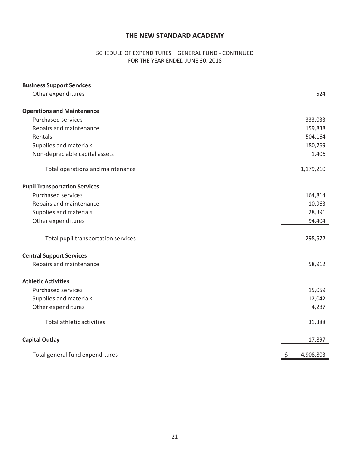## SCHEDULE OF EXPENDITURES - GENERAL FUND - CONTINUED FOR THE YEAR ENDED JUNE 30, 2018

| <b>Business Support Services</b>     |                 |
|--------------------------------------|-----------------|
| Other expenditures                   | 524             |
| <b>Operations and Maintenance</b>    |                 |
| <b>Purchased services</b>            | 333,033         |
| Repairs and maintenance              | 159,838         |
| Rentals                              | 504,164         |
| Supplies and materials               | 180,769         |
| Non-depreciable capital assets       | 1,406           |
| Total operations and maintenance     | 1,179,210       |
| <b>Pupil Transportation Services</b> |                 |
| <b>Purchased services</b>            | 164,814         |
| Repairs and maintenance              | 10,963          |
| Supplies and materials               | 28,391          |
| Other expenditures                   | 94,404          |
| Total pupil transportation services  | 298,572         |
| <b>Central Support Services</b>      |                 |
| Repairs and maintenance              | 58,912          |
| <b>Athletic Activities</b>           |                 |
| <b>Purchased services</b>            | 15,059          |
| Supplies and materials               | 12,042          |
| Other expenditures                   | 4,287           |
| Total athletic activities            | 31,388          |
| <b>Capital Outlay</b>                | 17,897          |
| Total general fund expenditures      | \$<br>4,908,803 |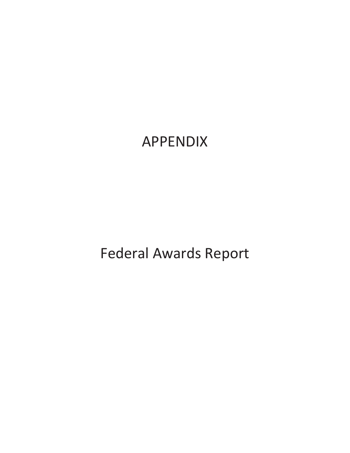APPENDIX

Federal Awards Report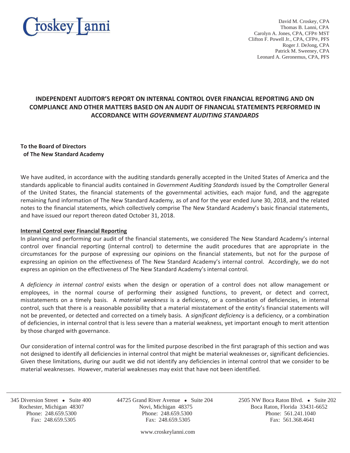

David M. Croskey, CPA Thomas B. Lanni, CPA Carolyn A. Jones, CPA, CFP® MST Clifton F. Powell Jr., CPA, CFP®, PFS Roger J. DeJong, CPA Patrick M. Sweeney, CPA Leonard A. Geronemus, CPA, PFS

## **INDEPENDENT AUDITOR'S REPORT ON INTERNAL CONTROL OVER FINANCIAL REPORTING AND ON COMPLIANCE AND OTHER MATTERS BASED ON AN AUDIT OF FINANCIAL STATEMENTS PERFORMED IN ACCORDANCE WITH** *GOVERNMENT AUDITING STANDARDS*

**To the Board of Directors of The New Standard Academy**

We have audited, in accordance with the auditing standards generally accepted in the United States of America and the standards applicable to financial audits contained in *Government Auditing Standards* issued by the Comptroller General of the United States, the financial statements of the governmental activities, each major fund, and the aggregate remaining fund information of The New Standard Academy, as of and for the year ended June 30, 2018, and the related notes to the financial statements, which collectively comprise The New Standard Academy's basic financial statements, and have issued our report thereon dated October 31, 2018.

#### **Internal Control over Financial Reporting**

In planning and performing our audit of the financial statements, we considered The New Standard Academy's internal control over financial reporting (internal control) to determine the audit procedures that are appropriate in the circumstances for the purpose of expressing our opinions on the financial statements, but not for the purpose of expressing an opinion on the effectiveness of The New Standard Academy's internal control. Accordingly, we do not express an opinion on the effectiveness of The New Standard Academy's internal control.

A *deficiency in internal control* exists when the design or operation of a control does not allow management or employees, in the normal course of performing their assigned functions, to prevent, or detect and correct, misstatements on a timely basis. A *material weakness* is a deficiency, or a combination of deficiencies, in internal control, such that there is a reasonable possibility that a material misstatement of the entity's financial statements will not be prevented, or detected and corrected on a timely basis. A *significant deficiency* is a deficiency, or a combination of deficiencies, in internal control that is less severe than a material weakness, yet important enough to merit attention by those charged with governance.

Our consideration of internal control was for the limited purpose described in the first paragraph of this section and was not designed to identify all deficiencies in internal control that might be material weaknesses or, significant deficiencies. Given these limitations, during our audit we did not identify any deficiencies in internal control that we consider to be material weaknesses. However, material weaknesses may exist that have not been identified.

j

 Rochester, Michigan 48307 Novi, Michigan 48375 Boca Raton, Florida 33431-6652 Phone: 248.659.5300 Phone: 248.659.5300 Phone: 561.241.1040 Fax: 248.659.5305 Fax: 248.659.5305 Fax: 561.368.4641

345 Diversion Street • Suite 400 44725 Grand River Avenue • Suite 204 2505 NW Boca Raton Blvd. • Suite 202

www.croskeylanni.com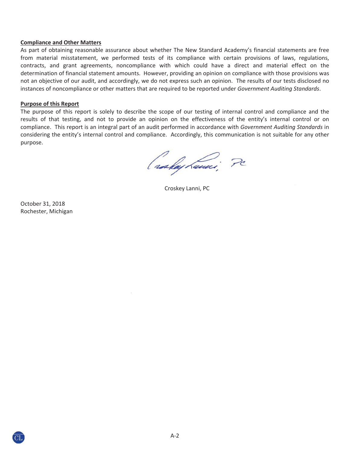#### **Compliance and Other Matters**

As part of obtaining reasonable assurance about whether The New Standard Academy's financial statements are free from material misstatement, we performed tests of its compliance with certain provisions of laws, regulations, contracts, and grant agreements, noncompliance with which could have a direct and material effect on the determination of financial statement amounts. However, providing an opinion on compliance with those provisions was not an objective of our audit, and accordingly, we do not express such an opinion. The results of our tests disclosed no instances of noncompliance or other matters that are required to be reported under *Government Auditing Standards*.

#### **Purpose of this Report**

The purpose of this report is solely to describe the scope of our testing of internal control and compliance and the results of that testing, and not to provide an opinion on the effectiveness of the entity's internal control or on compliance.This report is an integral part of an audit performed in accordance with *Government Auditing Standards* in considering the entity's internal control and compliance. Accordingly, this communication is not suitable for any other purpose.

( raskaj Lauri, Pc

Croskey Lanni, PC

October 31, 2018 Rochester, Michigan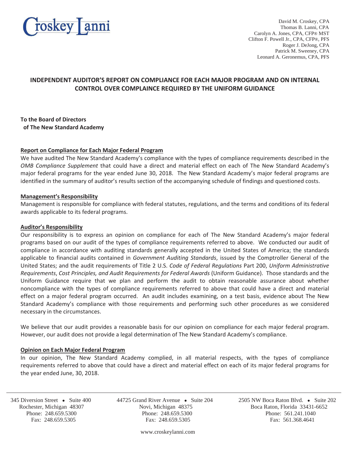

David M. Croskey, CPA Thomas B. Lanni, CPA Carolyn A. Jones, CPA, CFP® MST Clifton F. Powell Jr., CPA, CFP®, PFS Roger J. DeJong, CPA Patrick M. Sweeney, CPA Leonard A. Geronemus, CPA, PFS

## **INDEPENDENT AUDITOR'S REPORT ON COMPLIANCE FOR EACH MAJOR PROGRAM AND ON INTERNAL CONTROL OVER COMPLAINCE REQUIRED BY THE UNIFORM GUIDANCE**

#### **To the Board of Directors of The New Standard Academy**

#### **Report on Compliance for Each Major Federal Program**

We have audited The New Standard Academy's compliance with the types of compliance requirements described in the *OMB Compliance Supplement* that could have a direct and material effect on each of The New Standard Academy's major federal programs for the year ended June 30, 2018. The New Standard Academy's major federal programs are identified in the summary of auditor's results section of the accompanying schedule of findings and questioned costs.

#### **Management's Responsibility**

Management is responsible for compliance with federal statutes, regulations, and the terms and conditions of its federal awards applicable to its federal programs.

#### **Auditor's Responsibility**

Our responsibility is to express an opinion on compliance for each of The New Standard Academy's major federal programs based on our audit of the types of compliance requirements referred to above.We conducted our audit of compliance in accordance with auditing standards generally accepted in the United States of America; the standards applicable to financial audits contained in *Government Auditing Standards*, issued by the Comptroller General of the United States; and the audit requirements of Title 2 U.S. *Code of Federal Regulations* Part 200, *Uniform Administrative Requirements*, *Cost Principles, and Audit Requirements for Federal Awards* (Uniform Guidance).Those standards and the Uniform Guidance require that we plan and perform the audit to obtain reasonable assurance about whether noncompliance with the types of compliance requirements referred to above that could have a direct and material effect on a major federal program occurred. An audit includes examining, on a test basis, evidence about The New Standard Academy's compliance with those requirements and performing such other procedures as we considered necessary in the circumstances.

We believe that our audit provides a reasonable basis for our opinion on compliance for each major federal program. However, our audit does not provide a legal determination of The New Standard Academy's compliance.

#### **Opinion on Each Major Federal Program**

In our opinion, The New Standard Academy complied, in all material respects, with the types of compliance requirements referred to above that could have a direct and material effect on each of its major federal programs for the year ended June, 30, 2018.

j

 Rochester, Michigan 48307 Novi, Michigan 48375 Boca Raton, Florida 33431-6652 Phone: 248.659.5300 Phone: 248.659.5300 Phone: 561.241.1040 Fax: 248.659.5305 Fax: 248.659.5305 Fax: 561.368.4641

345 Diversion Street • Suite 400 44725 Grand River Avenue • Suite 204 2505 NW Boca Raton Blvd. • Suite 202

www.croskeylanni.com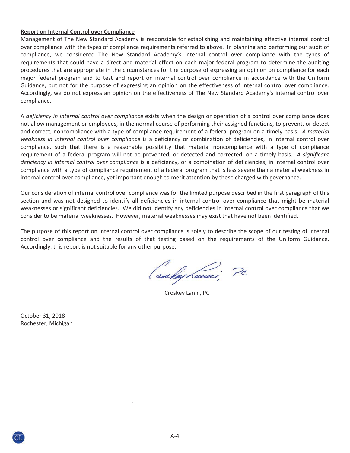#### **Report on Internal Control over Compliance**

Management of The New Standard Academy is responsible for establishing and maintaining effective internal control over compliance with the types of compliance requirements referred to above. In planning and performing our audit of compliance, we considered The New Standard Academy's internal control over compliance with the types of requirements that could have a direct and material effect on each major federal program to determine the auditing procedures that are appropriate in the circumstances for the purpose of expressing an opinion on compliance for each major federal program and to test and report on internal control over compliance in accordance with the Uniform Guidance, but not for the purpose of expressing an opinion on the effectiveness of internal control over compliance. Accordingly, we do not express an opinion on the effectiveness of The New Standard Academy's internal control over compliance.

A *deficiency in internal control over compliance* exists when the design or operation of a control over compliance does not allow management or employees, in the normal course of performing their assigned functions, to prevent, or detect and correct, noncompliance with a type of compliance requirement of a federal program on a timely basis.*A material weakness in internal control over compliance* is a deficiency or combination of deficiencies, in internal control over compliance, such that there is a reasonable possibility that material noncompliance with a type of compliance requirement of a federal program will not be prevented, or detected and corrected, on a timely basis. *A significant deficiency in internal control over compliance* is a deficiency, or a combination of deficiencies, in internal control over compliance with a type of compliance requirement of a federal program that is less severe than a material weakness in internal control over compliance, yet important enough to merit attention by those charged with governance.

Our consideration of internal control over compliance was for the limited purpose described in the first paragraph of this section and was not designed to identify all deficiencies in internal control over compliance that might be material weaknesses or significant deficiencies. We did not identify any deficiencies in internal control over compliance that we consider to be material weaknesses. However, material weaknesses may exist that have not been identified.

The purpose of this report on internal control over compliance is solely to describe the scope of our testing of internal control over compliance and the results of that testing based on the requirements of the Uniform Guidance. Accordingly, this report is not suitable for any other purpose.

( raskay hami, PC

Croskey Lanni, PC

October 31, 2018 Rochester, Michigan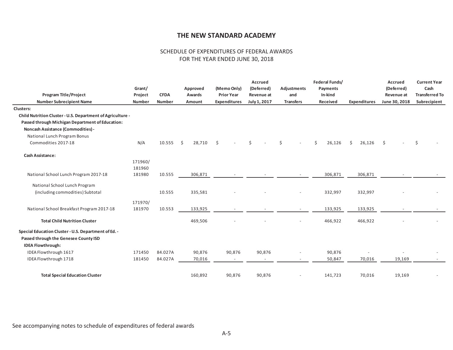#### SCHEDULE OF EXPENDITURES OF FEDERAL AWARDS FOR THE YEAR ENDED JUNE 30, 2018

| <b>Program Title/Project</b>                                                                                              | Grant/<br>Project | <b>CFDA</b>   | Approved<br>Awards | (Memo Only)<br><b>Prior Year</b> |        | Accrued<br>(Deferred)<br>Revenue at | <b>Adjustments</b><br>and |  | Federal Funds/<br>Payments<br>In-kind |         |                     | Accrued<br>(Deferred)<br>Revenue at<br>June 30, 2018 |        | <b>Current Year</b><br>Cash<br><b>Transferred To</b><br>Subrecipient |  |
|---------------------------------------------------------------------------------------------------------------------------|-------------------|---------------|--------------------|----------------------------------|--------|-------------------------------------|---------------------------|--|---------------------------------------|---------|---------------------|------------------------------------------------------|--------|----------------------------------------------------------------------|--|
| <b>Number Subrecipient Name</b>                                                                                           | <b>Number</b>     | <b>Number</b> | Amount             | Expenditures                     |        | July 1, 2017                        | <b>Transfers</b>          |  | Received                              |         | <b>Expenditures</b> |                                                      |        |                                                                      |  |
| <b>Clusters:</b>                                                                                                          |                   |               |                    |                                  |        |                                     |                           |  |                                       |         |                     |                                                      |        |                                                                      |  |
| Child Nutrition Cluster - U.S. Department of Agriculture -                                                                |                   |               |                    |                                  |        |                                     |                           |  |                                       |         |                     |                                                      |        |                                                                      |  |
| Passed through Michigan Department of Education:                                                                          |                   |               |                    |                                  |        |                                     |                           |  |                                       |         |                     |                                                      |        |                                                                      |  |
| <b>Noncash Assistance (Commodities) -</b>                                                                                 |                   |               |                    |                                  |        |                                     |                           |  |                                       |         |                     |                                                      |        |                                                                      |  |
| National Lunch Program Bonus                                                                                              |                   |               |                    |                                  |        |                                     |                           |  |                                       |         |                     |                                                      |        |                                                                      |  |
| Commodities 2017-18                                                                                                       | N/A               | 10.555        | \$<br>28,710       | $\zeta$                          |        | \$                                  | Ś                         |  | \$                                    | 26,126  | 26,126<br>\$        | $\zeta$                                              |        | $\zeta$                                                              |  |
| <b>Cash Assistance:</b>                                                                                                   |                   |               |                    |                                  |        |                                     |                           |  |                                       |         |                     |                                                      |        |                                                                      |  |
|                                                                                                                           | 171960/           |               |                    |                                  |        |                                     |                           |  |                                       |         |                     |                                                      |        |                                                                      |  |
|                                                                                                                           | 181960            |               |                    |                                  |        |                                     |                           |  |                                       |         |                     |                                                      |        |                                                                      |  |
| National School Lunch Program 2017-18                                                                                     | 181980            | 10.555        | 306,871            |                                  |        |                                     |                           |  |                                       | 306,871 | 306,871             |                                                      |        |                                                                      |  |
| National School Lunch Program                                                                                             |                   |               |                    |                                  |        |                                     |                           |  |                                       |         |                     |                                                      |        |                                                                      |  |
| (including commodities) Subtotal                                                                                          |                   | 10.555        | 335,581            |                                  |        |                                     |                           |  |                                       | 332,997 | 332,997             |                                                      |        |                                                                      |  |
|                                                                                                                           | 171970/           |               |                    |                                  |        |                                     |                           |  |                                       |         |                     |                                                      |        |                                                                      |  |
| National School Breakfast Program 2017-18                                                                                 | 181970            | 10.553        | 133,925            |                                  |        |                                     |                           |  |                                       | 133,925 | 133,925             |                                                      |        |                                                                      |  |
| <b>Total Child Nutrition Cluster</b>                                                                                      |                   |               | 469,506            |                                  |        |                                     |                           |  |                                       | 466,922 | 466,922             |                                                      |        |                                                                      |  |
| Special Education Cluster - U.S. Department of Ed. -<br>Passed through the Genesee County ISD<br><b>IDEA Flowthrough:</b> |                   |               |                    |                                  |        |                                     |                           |  |                                       |         |                     |                                                      |        |                                                                      |  |
| IDEA Flowthrough 1617                                                                                                     | 171450            | 84.027A       | 90,876             |                                  | 90,876 | 90,876                              |                           |  |                                       | 90,876  |                     |                                                      |        |                                                                      |  |
| IDEA Flowthrough 1718                                                                                                     | 181450            | 84.027A       | 70,016             |                                  | $\sim$ |                                     |                           |  |                                       | 50,847  | 70,016              |                                                      | 19,169 |                                                                      |  |
| <b>Total Special Education Cluster</b>                                                                                    |                   |               | 160,892            |                                  | 90,876 | 90,876                              |                           |  |                                       | 141,723 | 70,016              |                                                      | 19,169 |                                                                      |  |

See accompanying notes to schedule of expenditures of federal awards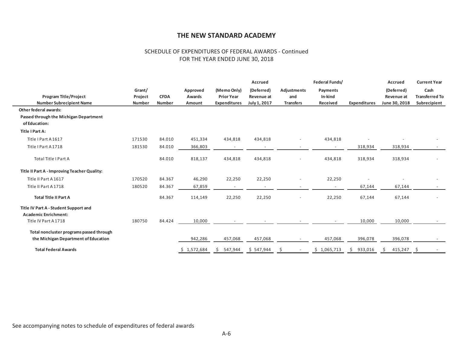#### SCHEDULE OF EXPENDITURES OF FEDERAL AWARDS - Continued FOR THE YEAR ENDED JUNE 30, 2018

|                                                                      |         |               |             |                                 | <b>Accrued</b> |                          | Federal Funds/ |                     | Accrued       | <b>Current Year</b>   |
|----------------------------------------------------------------------|---------|---------------|-------------|---------------------------------|----------------|--------------------------|----------------|---------------------|---------------|-----------------------|
|                                                                      | Grant/  |               | Approved    | (Memo Only)                     | (Deferred)     | Adjustments              | Payments       |                     | (Deferred)    | Cash                  |
| <b>Program Title/Project</b>                                         | Project | <b>CFDA</b>   | Awards      | <b>Prior Year</b><br>Revenue at |                | and                      | In-kind        |                     | Revenue at    | <b>Transferred To</b> |
| <b>Number Subrecipient Name</b>                                      | Number  | <b>Number</b> | Amount      | <b>Expenditures</b>             | July 1, 2017   | <b>Transfers</b>         | Received       | <b>Expenditures</b> | June 30, 2018 | Subrecipient          |
| <b>Other federal awards:</b>                                         |         |               |             |                                 |                |                          |                |                     |               |                       |
| Passed through the Michigan Department                               |         |               |             |                                 |                |                          |                |                     |               |                       |
| of Education:                                                        |         |               |             |                                 |                |                          |                |                     |               |                       |
| Title I Part A:                                                      |         |               |             |                                 |                |                          |                |                     |               |                       |
| Title I Part A 1617                                                  | 171530  | 84.010        | 451,334     | 434,818                         | 434,818        | $\overline{\phantom{a}}$ | 434,818        |                     |               |                       |
| Title I Part A 1718                                                  | 181530  | 84.010        | 366,803     |                                 |                |                          |                | 318,934             | 318,934       |                       |
| Total Title I Part A                                                 |         | 84.010        | 818,137     | 434,818                         | 434,818        | $\overline{a}$           | 434,818        | 318,934             | 318,934       |                       |
| Title II Part A - Improving Teacher Quality:                         |         |               |             |                                 |                |                          |                |                     |               |                       |
| Title II Part A 1617                                                 | 170520  | 84.367        | 46,290      | 22,250                          | 22,250         | $\overline{\phantom{a}}$ | 22,250         |                     |               |                       |
| Title II Part A 1718                                                 | 180520  | 84.367        | 67,859      |                                 |                |                          |                | 67,144              | 67,144        |                       |
| <b>Total Title II Part A</b>                                         |         | 84.367        | 114,149     | 22,250                          | 22,250         | $\overline{\phantom{a}}$ | 22,250         | 67,144              | 67,144        |                       |
| Title IV Part A - Student Support and<br><b>Academic Enrichment:</b> |         |               |             |                                 |                |                          |                |                     |               |                       |
| Title IV Part A 1718                                                 | 180750  | 84.424        | 10,000      |                                 |                |                          |                | 10,000              | 10,000        |                       |
| Total noncluster programs passed through                             |         |               |             |                                 |                |                          |                |                     |               |                       |
| the Michigan Department of Education                                 |         |               | 942,286     | 457,068                         | 457,068        |                          | 457,068        | 396,078             | 396,078       |                       |
| <b>Total Federal Awards</b>                                          |         |               | \$1,572,684 | 547,944<br>S.                   | \$547,944      |                          | \$1,065,713    | 933,016<br>Ŝ.       | 415,247<br>S. | \$                    |

See accompanying notes to schedule of expenditures of federal awards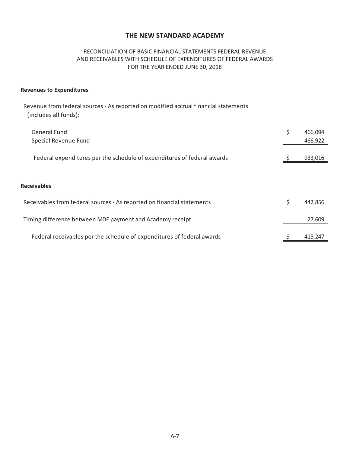## RECONCILIATION OF BASIC FINANCIAL STATEMENTS FEDERAL REVENUE AND RECEIVABLES WITH SCHEDULE OF EXPENDITURES OF FEDERAL AWARDS FOR THE YEAR ENDED JUNE 30, 2018

#### **Revenues to Expenditures**

Revenue from federal sources - As reported on modified accrual financial statements (includes all funds):

| General Fund<br>Special Revenue Fund                                    | \$<br>466,094<br>466,922 |
|-------------------------------------------------------------------------|--------------------------|
| Federal expenditures per the schedule of expenditures of federal awards | 933,016                  |
| <b>Receivables</b>                                                      |                          |
| Receivables from federal sources - As reported on financial statements  | \$<br>442,856            |
| Timing difference between MDE payment and Academy receipt               | 27,609                   |
| Federal receivables per the schedule of expenditures of federal awards  | 415.247                  |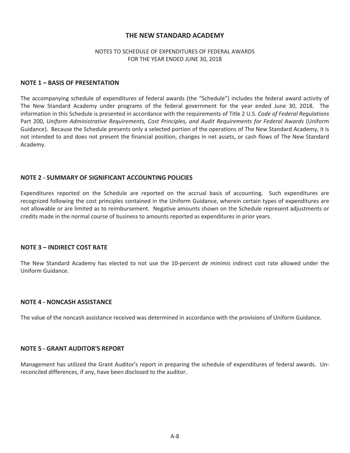#### NOTES TO SCHEDULE OF EXPENDITURES OF FEDERAL AWARDS FOR THE YEAR ENDED JUNE 30, 2018

#### **NOTE 1 – BASIS OF PRESENTATION**

The accompanying schedule of expenditures of federal awards (the "Schedule") includes the federal award activity of The New Standard Academy under programs of the federal government for the year ended June 30, 2018. The information in this Schedule is presented in accordance with the requirements of Title 2 U.S. *Code of Federal Regulations* Part 200, *Uniform Administrative Requirements, Cost Principles, and Audit Requirements for Federal Awards* (Uniform Guidance). Because the Schedule presents only a selected portion of the operations of The New Standard Academy, it is not intended to and does not present the financial position, changes in net assets, or cash flows of The New Standard Academy.

#### **NOTE 2 - SUMMARY OF SIGNIFICANT ACCOUNTING POLICIES**

Expenditures reported on the Schedule are reported on the accrual basis of accounting. Such expenditures are recognized following the cost principles contained in the Uniform Guidance, wherein certain types of expenditures are not allowable or are limited as to reimbursement. Negative amounts shown on the Schedule represent adjustments or credits made in the normal course of business to amounts reported as expenditures in prior years.

#### **NOTE 3 – INDIRECT COST RATE**

The New Standard Academy has elected to not use the 10-percent *de minimis* indirect cost rate allowed under the Uniform Guidance.

#### **NOTE 4 - NONCASH ASSISTANCE**

The value of the noncash assistance received was determined in accordance with the provisions of Uniform Guidance.

#### **NOTE 5 - GRANT AUDITOR'S REPORT**

Management has utilized the Grant Auditor's report in preparing the schedule of expenditures of federal awards. Unreconciled differences, if any, have been disclosed to the auditor.